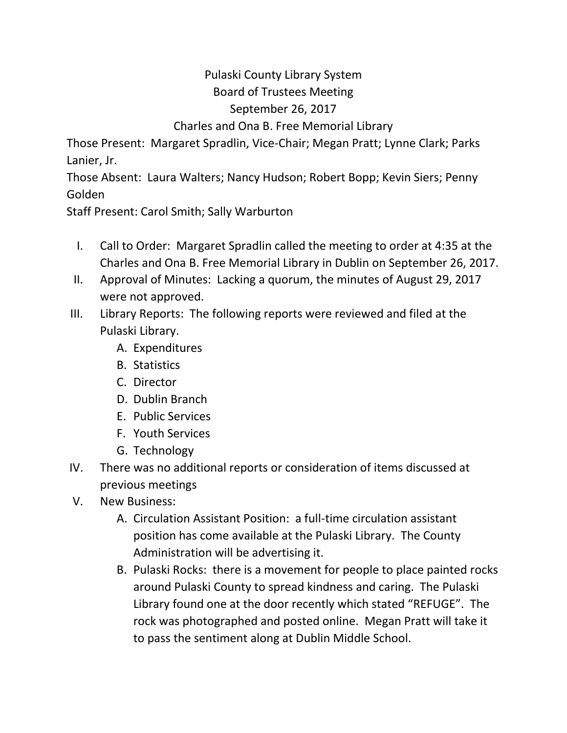## Pulaski County Library System Board of Trustees Meeting September 26, 2017 Charles and Ona B. Free Memorial Library

Those Present: Margaret Spradlin, Vice-Chair; Megan Pratt; Lynne Clark; Parks Lanier, Jr.

Those Absent: Laura Walters; Nancy Hudson; Robert Bopp; Kevin Siers; Penny Golden

Staff Present: Carol Smith; Sally Warburton

- I. Call to Order: Margaret Spradlin called the meeting to order at 4:35 at the Charles and Ona B. Free Memorial Library in Dublin on September 26, 2017.
- II. Approval of Minutes: Lacking a quorum, the minutes of August 29, 2017 were not approved.
- III. Library Reports: The following reports were reviewed and filed at the Pulaski Library.
	- A. Expenditures
	- B. Statistics
	- C. Director
	- D. Dublin Branch
	- E. Public Services
	- F. Youth Services
	- G. Technology
- IV. There was no additional reports or consideration of items discussed at previous meetings
- V. New Business:
	- A. Circulation Assistant Position: a full-time circulation assistant position has come available at the Pulaski Library. The County Administration will be advertising it.
	- B. Pulaski Rocks: there is a movement for people to place painted rocks around Pulaski County to spread kindness and caring. The Pulaski Library found one at the door recently which stated "REFUGE". The rock was photographed and posted online. Megan Pratt will take it to pass the sentiment along at Dublin Middle School.